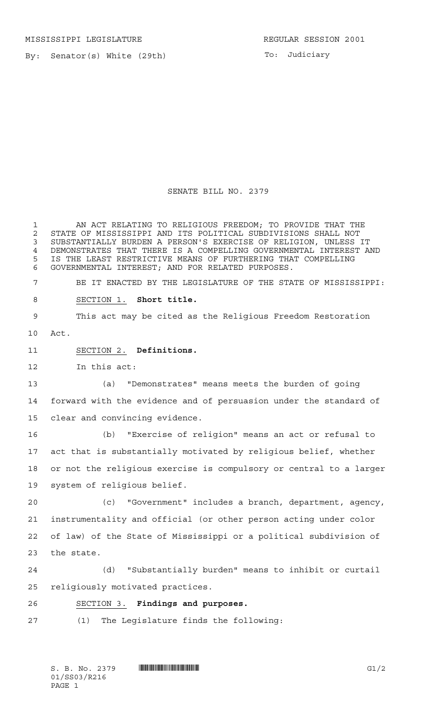MISSISSIPPI LEGISLATURE **REGULAR SESSION 2001** 

By: Senator(s) White (29th)

To: Judiciary

SENATE BILL NO. 2379

 AN ACT RELATING TO RELIGIOUS FREEDOM; TO PROVIDE THAT THE 2 STATE OF MISSISSIPPI AND ITS POLITICAL SUBDIVISIONS SHALL NOT<br>3 SUBSTANTIALLY BURDEN A PERSON'S EXERCISE OF RELIGION, UNLESS SUBSTANTIALLY BURDEN A PERSON'S EXERCISE OF RELIGION, UNLESS IT DEMONSTRATES THAT THERE IS A COMPELLING GOVERNMENTAL INTEREST AND IS THE LEAST RESTRICTIVE MEANS OF FURTHERING THAT COMPELLING GOVERNMENTAL INTEREST; AND FOR RELATED PURPOSES. BE IT ENACTED BY THE LEGISLATURE OF THE STATE OF MISSISSIPPI: SECTION 1. **Short title.** This act may be cited as the Religious Freedom Restoration Act. SECTION 2. **Definitions.** In this act: (a) "Demonstrates" means meets the burden of going forward with the evidence and of persuasion under the standard of clear and convincing evidence. (b) "Exercise of religion" means an act or refusal to act that is substantially motivated by religious belief, whether or not the religious exercise is compulsory or central to a larger system of religious belief. (c) "Government" includes a branch, department, agency, instrumentality and official (or other person acting under color of law) of the State of Mississippi or a political subdivision of the state. (d) "Substantially burden" means to inhibit or curtail religiously motivated practices. SECTION 3. **Findings and purposes.** (1) The Legislature finds the following: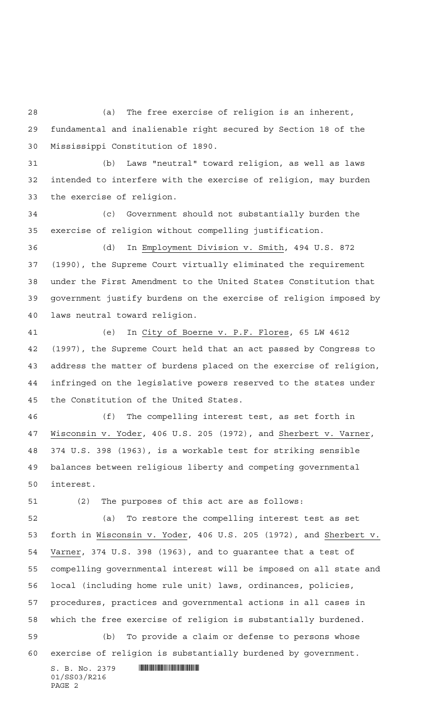(a) The free exercise of religion is an inherent, fundamental and inalienable right secured by Section 18 of the Mississippi Constitution of 1890.

 (b) Laws "neutral" toward religion, as well as laws intended to interfere with the exercise of religion, may burden the exercise of religion.

 (c) Government should not substantially burden the exercise of religion without compelling justification.

 (d) In Employment Division v. Smith, 494 U.S. 872 (1990), the Supreme Court virtually eliminated the requirement under the First Amendment to the United States Constitution that government justify burdens on the exercise of religion imposed by laws neutral toward religion.

 (e) In City of Boerne v. P.F. Flores, 65 LW 4612 (1997), the Supreme Court held that an act passed by Congress to address the matter of burdens placed on the exercise of religion, infringed on the legislative powers reserved to the states under the Constitution of the United States.

 (f) The compelling interest test, as set forth in Wisconsin v. Yoder, 406 U.S. 205 (1972), and Sherbert v. Varner, 374 U.S. 398 (1963), is a workable test for striking sensible balances between religious liberty and competing governmental interest.

(2) The purposes of this act are as follows:

 (a) To restore the compelling interest test as set forth in Wisconsin v. Yoder, 406 U.S. 205 (1972), and Sherbert v. Varner, 374 U.S. 398 (1963), and to guarantee that a test of compelling governmental interest will be imposed on all state and local (including home rule unit) laws, ordinances, policies, procedures, practices and governmental actions in all cases in which the free exercise of religion is substantially burdened. (b) To provide a claim or defense to persons whose exercise of religion is substantially burdened by government.

 $S. B. No. 2379$  . The set of  $\mathbb S$  and  $\mathbb S$  and  $\mathbb S$  and  $\mathbb S$  and  $\mathbb S$  and  $\mathbb S$  and  $\mathbb S$  and  $\mathbb S$  and  $\mathbb S$  and  $\mathbb S$  and  $\mathbb S$  and  $\mathbb S$  and  $\mathbb S$  and  $\mathbb S$  and  $\mathbb S$  and  $\mathbb S$  and  $\mathbb S$  and  $\mathbb S$  01/SS03/R216 PAGE 2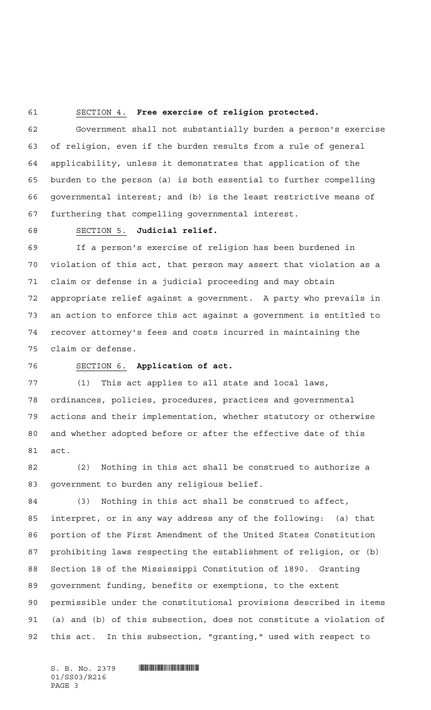## SECTION 4. **Free exercise of religion protected.**

 Government shall not substantially burden a person's exercise of religion, even if the burden results from a rule of general applicability, unless it demonstrates that application of the burden to the person (a) is both essential to further compelling governmental interest; and (b) is the least restrictive means of furthering that compelling governmental interest.

## SECTION 5. **Judicial relief.**

 If a person's exercise of religion has been burdened in violation of this act, that person may assert that violation as a claim or defense in a judicial proceeding and may obtain appropriate relief against a government. A party who prevails in an action to enforce this act against a government is entitled to recover attorney's fees and costs incurred in maintaining the claim or defense.

## SECTION 6. **Application of act.**

 (1) This act applies to all state and local laws, ordinances, policies, procedures, practices and governmental actions and their implementation, whether statutory or otherwise and whether adopted before or after the effective date of this act.

 (2) Nothing in this act shall be construed to authorize a government to burden any religious belief.

 (3) Nothing in this act shall be construed to affect, interpret, or in any way address any of the following: (a) that portion of the First Amendment of the United States Constitution prohibiting laws respecting the establishment of religion, or (b) Section 18 of the Mississippi Constitution of 1890. Granting government funding, benefits or exemptions, to the extent permissible under the constitutional provisions described in items (a) and (b) of this subsection, does not constitute a violation of this act. In this subsection, "granting," used with respect to

 $S.$  B. No. 2379  $\blacksquare$ 01/SS03/R216 PAGE 3